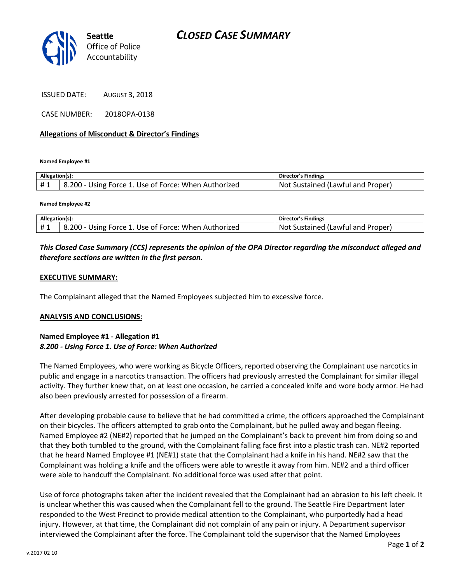

ISSUED DATE: AUGUST 3, 2018

CASE NUMBER: 2018OPA-0138

### **Allegations of Misconduct & Director's Findings**

**Named Employee #1**

| Allegation(s): |                                                      | Director's Findings                      |
|----------------|------------------------------------------------------|------------------------------------------|
| #1             | 8.200 - Using Force 1. Use of Force: When Authorized | . Not<br>. Sustained (Lawful and Proper) |

**Named Employee #2**

| Allegation(s): |                                                      | Director's Findings               |
|----------------|------------------------------------------------------|-----------------------------------|
|                | B.200 - Using Force 1. Use of Force: When Authorized | Not Sustained (Lawful and Proper) |

# *This Closed Case Summary (CCS) represents the opinion of the OPA Director regarding the misconduct alleged and therefore sections are written in the first person.*

#### **EXECUTIVE SUMMARY:**

The Complainant alleged that the Named Employees subjected him to excessive force.

#### **ANALYSIS AND CONCLUSIONS:**

## **Named Employee #1 - Allegation #1** *8.200 - Using Force 1. Use of Force: When Authorized*

The Named Employees, who were working as Bicycle Officers, reported observing the Complainant use narcotics in public and engage in a narcotics transaction. The officers had previously arrested the Complainant for similar illegal activity. They further knew that, on at least one occasion, he carried a concealed knife and wore body armor. He had also been previously arrested for possession of a firearm.

After developing probable cause to believe that he had committed a crime, the officers approached the Complainant on their bicycles. The officers attempted to grab onto the Complainant, but he pulled away and began fleeing. Named Employee #2 (NE#2) reported that he jumped on the Complainant's back to prevent him from doing so and that they both tumbled to the ground, with the Complainant falling face first into a plastic trash can. NE#2 reported that he heard Named Employee #1 (NE#1) state that the Complainant had a knife in his hand. NE#2 saw that the Complainant was holding a knife and the officers were able to wrestle it away from him. NE#2 and a third officer were able to handcuff the Complainant. No additional force was used after that point.

Use of force photographs taken after the incident revealed that the Complainant had an abrasion to his left cheek. It is unclear whether this was caused when the Complainant fell to the ground. The Seattle Fire Department later responded to the West Precinct to provide medical attention to the Complainant, who purportedly had a head injury. However, at that time, the Complainant did not complain of any pain or injury. A Department supervisor interviewed the Complainant after the force. The Complainant told the supervisor that the Named Employees